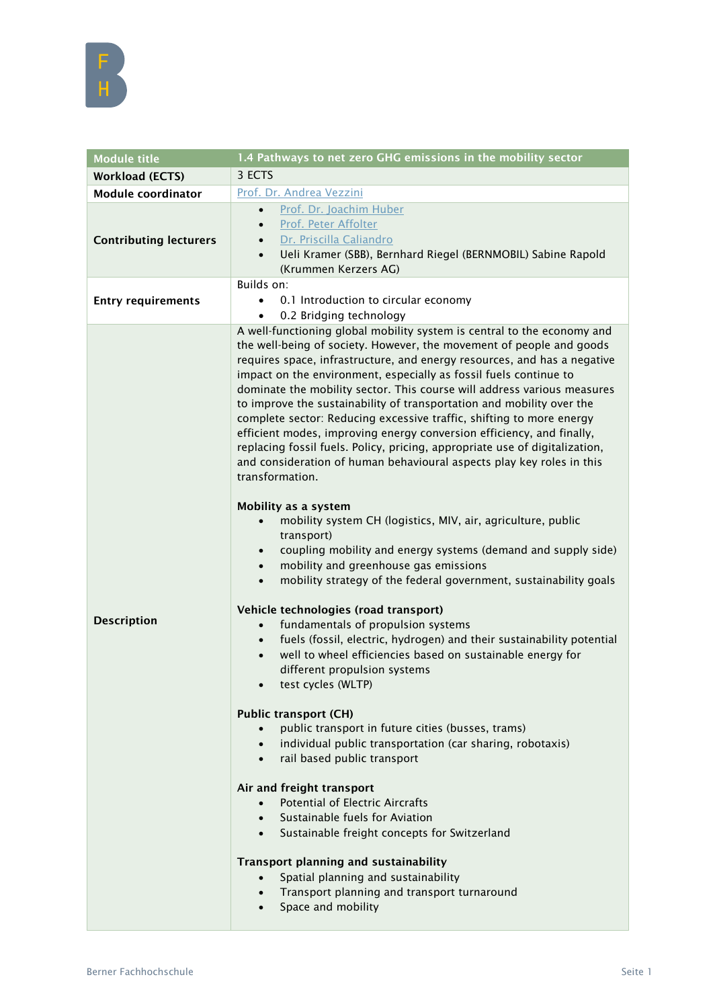| <b>Module title</b>           | 1.4 Pathways to net zero GHG emissions in the mobility sector                                                                                                                                                                                                                                                                                                                                                                                                                                                                                                                                                                                                                                                                                                                                                                                                                                                                                                                                                                                                                                                                                                                                                                                                                                                                                                                                                                                                                                                                                                                                                                                                                                                                                                                                                                                                                                                                                                                               |
|-------------------------------|---------------------------------------------------------------------------------------------------------------------------------------------------------------------------------------------------------------------------------------------------------------------------------------------------------------------------------------------------------------------------------------------------------------------------------------------------------------------------------------------------------------------------------------------------------------------------------------------------------------------------------------------------------------------------------------------------------------------------------------------------------------------------------------------------------------------------------------------------------------------------------------------------------------------------------------------------------------------------------------------------------------------------------------------------------------------------------------------------------------------------------------------------------------------------------------------------------------------------------------------------------------------------------------------------------------------------------------------------------------------------------------------------------------------------------------------------------------------------------------------------------------------------------------------------------------------------------------------------------------------------------------------------------------------------------------------------------------------------------------------------------------------------------------------------------------------------------------------------------------------------------------------------------------------------------------------------------------------------------------------|
| <b>Workload (ECTS)</b>        | 3 ECTS                                                                                                                                                                                                                                                                                                                                                                                                                                                                                                                                                                                                                                                                                                                                                                                                                                                                                                                                                                                                                                                                                                                                                                                                                                                                                                                                                                                                                                                                                                                                                                                                                                                                                                                                                                                                                                                                                                                                                                                      |
| <b>Module coordinator</b>     | Prof. Dr. Andrea Vezzini                                                                                                                                                                                                                                                                                                                                                                                                                                                                                                                                                                                                                                                                                                                                                                                                                                                                                                                                                                                                                                                                                                                                                                                                                                                                                                                                                                                                                                                                                                                                                                                                                                                                                                                                                                                                                                                                                                                                                                    |
| <b>Contributing lecturers</b> | Prof. Dr. Joachim Huber<br>$\bullet$<br>Prof. Peter Affolter<br>Dr. Priscilla Caliandro<br>Ueli Kramer (SBB), Bernhard Riegel (BERNMOBIL) Sabine Rapold<br>(Krummen Kerzers AG)                                                                                                                                                                                                                                                                                                                                                                                                                                                                                                                                                                                                                                                                                                                                                                                                                                                                                                                                                                                                                                                                                                                                                                                                                                                                                                                                                                                                                                                                                                                                                                                                                                                                                                                                                                                                             |
| <b>Entry requirements</b>     | Builds on:<br>0.1 Introduction to circular economy<br>$\bullet$<br>0.2 Bridging technology<br>$\bullet$                                                                                                                                                                                                                                                                                                                                                                                                                                                                                                                                                                                                                                                                                                                                                                                                                                                                                                                                                                                                                                                                                                                                                                                                                                                                                                                                                                                                                                                                                                                                                                                                                                                                                                                                                                                                                                                                                     |
| <b>Description</b>            | A well-functioning global mobility system is central to the economy and<br>the well-being of society. However, the movement of people and goods<br>requires space, infrastructure, and energy resources, and has a negative<br>impact on the environment, especially as fossil fuels continue to<br>dominate the mobility sector. This course will address various measures<br>to improve the sustainability of transportation and mobility over the<br>complete sector: Reducing excessive traffic, shifting to more energy<br>efficient modes, improving energy conversion efficiency, and finally,<br>replacing fossil fuels. Policy, pricing, appropriate use of digitalization,<br>and consideration of human behavioural aspects play key roles in this<br>transformation.<br>Mobility as a system<br>mobility system CH (logistics, MIV, air, agriculture, public<br>transport)<br>coupling mobility and energy systems (demand and supply side)<br>$\bullet$<br>mobility and greenhouse gas emissions<br>$\bullet$<br>mobility strategy of the federal government, sustainability goals<br>$\bullet$<br>Vehicle technologies (road transport)<br>fundamentals of propulsion systems<br>fuels (fossil, electric, hydrogen) and their sustainability potential<br>$\bullet$<br>well to wheel efficiencies based on sustainable energy for<br>different propulsion systems<br>test cycles (WLTP)<br><b>Public transport (CH)</b><br>public transport in future cities (busses, trams)<br>$\bullet$<br>individual public transportation (car sharing, robotaxis)<br>$\bullet$<br>rail based public transport<br>$\bullet$<br>Air and freight transport<br><b>Potential of Electric Aircrafts</b><br>$\bullet$<br>Sustainable fuels for Aviation<br>$\bullet$<br>Sustainable freight concepts for Switzerland<br>$\bullet$ .<br><b>Transport planning and sustainability</b><br>Spatial planning and sustainability<br>Transport planning and transport turnaround<br>Space and mobility |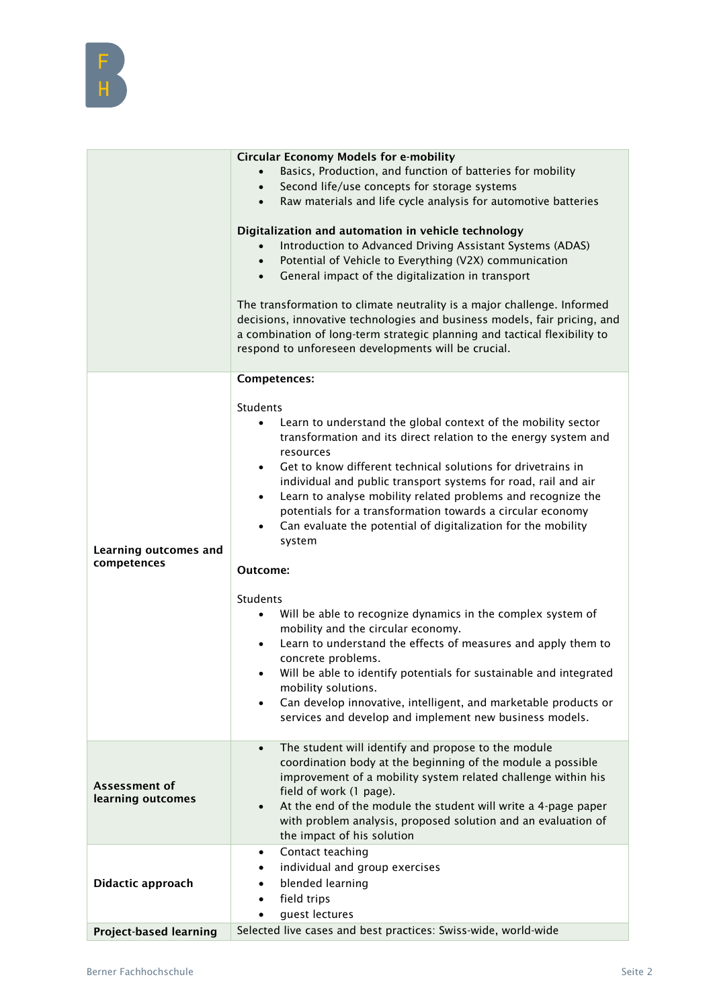

|                                             | <b>Circular Economy Models for e-mobility</b><br>Basics, Production, and function of batteries for mobility<br>Second life/use concepts for storage systems<br>$\bullet$<br>Raw materials and life cycle analysis for automotive batteries<br>$\bullet$<br>Digitalization and automation in vehicle technology<br>Introduction to Advanced Driving Assistant Systems (ADAS)<br>$\bullet$<br>Potential of Vehicle to Everything (V2X) communication<br>$\bullet$<br>General impact of the digitalization in transport<br>$\bullet$<br>The transformation to climate neutrality is a major challenge. Informed<br>decisions, innovative technologies and business models, fair pricing, and<br>a combination of long-term strategic planning and tactical flexibility to<br>respond to unforeseen developments will be crucial. |
|---------------------------------------------|-------------------------------------------------------------------------------------------------------------------------------------------------------------------------------------------------------------------------------------------------------------------------------------------------------------------------------------------------------------------------------------------------------------------------------------------------------------------------------------------------------------------------------------------------------------------------------------------------------------------------------------------------------------------------------------------------------------------------------------------------------------------------------------------------------------------------------|
|                                             | Competences:<br><b>Students</b>                                                                                                                                                                                                                                                                                                                                                                                                                                                                                                                                                                                                                                                                                                                                                                                               |
| <b>Learning outcomes and</b><br>competences | Learn to understand the global context of the mobility sector<br>$\bullet$<br>transformation and its direct relation to the energy system and<br>resources<br>Get to know different technical solutions for drivetrains in<br>$\bullet$<br>individual and public transport systems for road, rail and air<br>Learn to analyse mobility related problems and recognize the<br>$\bullet$<br>potentials for a transformation towards a circular economy<br>Can evaluate the potential of digitalization for the mobility<br>$\bullet$<br>system                                                                                                                                                                                                                                                                                  |
|                                             | Outcome:                                                                                                                                                                                                                                                                                                                                                                                                                                                                                                                                                                                                                                                                                                                                                                                                                      |
|                                             | Students<br>Will be able to recognize dynamics in the complex system of<br>$\bullet$<br>mobility and the circular economy.<br>Learn to understand the effects of measures and apply them to<br>$\bullet$<br>concrete problems.<br>Will be able to identify potentials for sustainable and integrated<br>$\bullet$<br>mobility solutions.<br>Can develop innovative, intelligent, and marketable products or<br>$\bullet$<br>services and develop and implement new business models.                                                                                                                                                                                                                                                                                                                                           |
| Assessment of<br>learning outcomes          | The student will identify and propose to the module<br>$\bullet$<br>coordination body at the beginning of the module a possible<br>improvement of a mobility system related challenge within his<br>field of work (1 page).<br>At the end of the module the student will write a 4-page paper<br>with problem analysis, proposed solution and an evaluation of<br>the impact of his solution                                                                                                                                                                                                                                                                                                                                                                                                                                  |
| Didactic approach                           | Contact teaching<br>$\bullet$<br>individual and group exercises<br>٠<br>blended learning<br>$\bullet$<br>field trips<br>$\bullet$<br>guest lectures<br>$\bullet$                                                                                                                                                                                                                                                                                                                                                                                                                                                                                                                                                                                                                                                              |
| <b>Project-based learning</b>               | Selected live cases and best practices: Swiss-wide, world-wide                                                                                                                                                                                                                                                                                                                                                                                                                                                                                                                                                                                                                                                                                                                                                                |